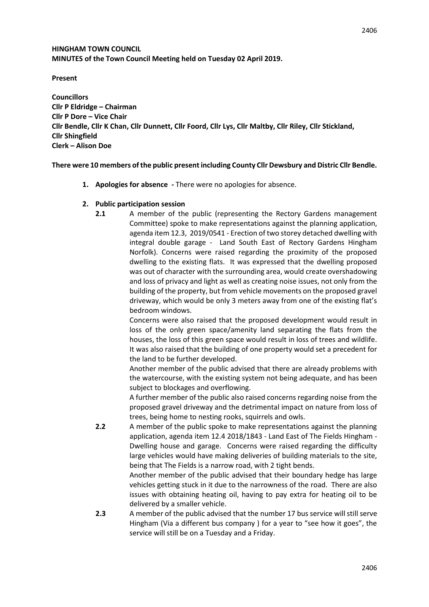# **HINGHAM TOWN COUNCIL MINUTES of the Town Council Meeting held on Tuesday 02 April 2019.**

**Present** 

**Councillors Cllr P Eldridge – Chairman Cllr P Dore – Vice Chair Cllr Bendle, Cllr K Chan, Cllr Dunnett, Cllr Foord, Cllr Lys, Cllr Maltby, Cllr Riley, Cllr Stickland, Cllr Shingfield Clerk – Alison Doe** 

**There were 10 members of the public presentincluding County Cllr Dewsbury and Distric Cllr Bendle.**

- **1. Apologies for absence -** There were no apologies for absence.
- **2. Public participation session** 
	- **2.1** A member of the public (representing the Rectory Gardens management Committee) spoke to make representations against the planning application, agenda item 12.3, 2019/0541 - Erection of two storey detached dwelling with integral double garage - Land South East of Rectory Gardens Hingham Norfolk). Concerns were raised regarding the proximity of the proposed dwelling to the existing flats. It was expressed that the dwelling proposed was out of character with the surrounding area, would create overshadowing and loss of privacy and light as well as creating noise issues, not only from the building of the property, but from vehicle movements on the proposed gravel driveway, which would be only 3 meters away from one of the existing flat's bedroom windows.

Concerns were also raised that the proposed development would result in loss of the only green space/amenity land separating the flats from the houses, the loss of this green space would result in loss of trees and wildlife. It was also raised that the building of one property would set a precedent for the land to be further developed.

Another member of the public advised that there are already problems with the watercourse, with the existing system not being adequate, and has been subject to blockages and overflowing.

A further member of the public also raised concerns regarding noise from the proposed gravel driveway and the detrimental impact on nature from loss of trees, being home to nesting rooks, squirrels and owls.

**2.2** A member of the public spoke to make representations against the planning application, agenda item 12.4 2018/1843 - Land East of The Fields Hingham - Dwelling house and garage. Concerns were raised regarding the difficulty large vehicles would have making deliveries of building materials to the site, being that The Fields is a narrow road, with 2 tight bends.

Another member of the public advised that their boundary hedge has large vehicles getting stuck in it due to the narrowness of the road. There are also issues with obtaining heating oil, having to pay extra for heating oil to be delivered by a smaller vehicle.

**2.3** A member of the public advised that the number 17 bus service will still serve Hingham (Via a different bus company ) for a year to "see how it goes", the service will still be on a Tuesday and a Friday.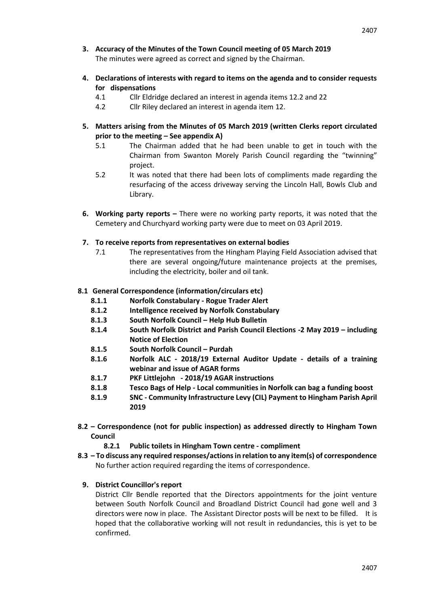- **3. Accuracy of the Minutes of the Town Council meeting of 05 March 2019** The minutes were agreed as correct and signed by the Chairman.
- **4. Declarations of interests with regard to items on the agenda and to consider requests for dispensations**
	- 4.1 Cllr Eldridge declared an interest in agenda items 12.2 and 22
	- 4.2 Cllr Riley declared an interest in agenda item 12.
- **5. Matters arising from the Minutes of 05 March 2019 (written Clerks report circulated prior to the meeting – See appendix A)**
	- 5.1 The Chairman added that he had been unable to get in touch with the Chairman from Swanton Morely Parish Council regarding the "twinning" project.
	- 5.2 It was noted that there had been lots of compliments made regarding the resurfacing of the access driveway serving the Lincoln Hall, Bowls Club and Library.
- **6. Working party reports –** There were no working party reports, it was noted that the Cemetery and Churchyard working party were due to meet on 03 April 2019.
- **7. To receive reports from representatives on external bodies**
	- 7.1 The representatives from the Hingham Playing Field Association advised that there are several ongoing/future maintenance projects at the premises, including the electricity, boiler and oil tank.
- **8.1 General Correspondence (information/circulars etc)**
	- **8.1.1 Norfolk Constabulary - Rogue Trader Alert**
	- **8.1.2 Intelligence received by Norfolk Constabulary**
	- **8.1.3 South Norfolk Council – Help Hub Bulletin**
	- **8.1.4 South Norfolk District and Parish Council Elections -2 May 2019 – including Notice of Election**
	- **8.1.5 South Norfolk Council – Purdah**
	- **8.1.6 Norfolk ALC - 2018/19 External Auditor Update - details of a training webinar and issue of AGAR forms**
	- **8.1.7 PKF Littlejohn - 2018/19 AGAR instructions**
	- **8.1.8 Tesco Bags of Help - Local communities in Norfolk can bag a funding boost**
	- **8.1.9 SNC - Community Infrastructure Levy (CIL) Payment to Hingham Parish April 2019**
- **8.2 – Correspondence (not for public inspection) as addressed directly to Hingham Town Council**
	- **8.2.1 Public toilets in Hingham Town centre - compliment**
- **8.3 – To discuss any required responses/actions in relation to any item(s) of correspondence**  No further action required regarding the items of correspondence.
	- **9. District Councillor's report**

District Cllr Bendle reported that the Directors appointments for the joint venture between South Norfolk Council and Broadland District Council had gone well and 3 directors were now in place. The Assistant Director posts will be next to be filled. It is hoped that the collaborative working will not result in redundancies, this is yet to be confirmed.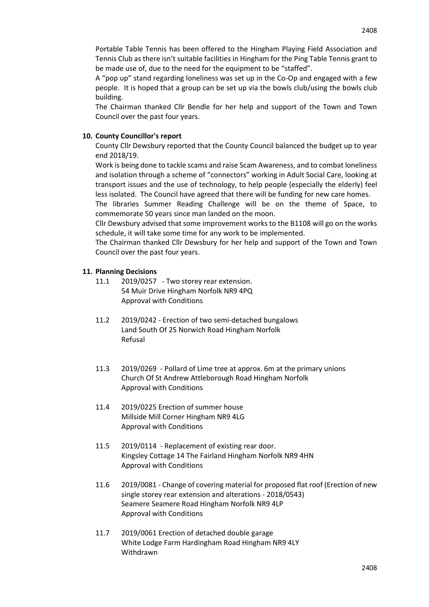Portable Table Tennis has been offered to the Hingham Playing Field Association and Tennis Club as there isn't suitable facilities in Hingham for the Ping Table Tennis grant to be made use of, due to the need for the equipment to be "staffed".

A "pop up" stand regarding loneliness was set up in the Co-Op and engaged with a few people. It is hoped that a group can be set up via the bowls club/using the bowls club building.

The Chairman thanked Cllr Bendle for her help and support of the Town and Town Council over the past four years.

#### **10. County Councillor's report**

County Cllr Dewsbury reported that the County Council balanced the budget up to year end 2018/19.

Work is being done to tackle scams and raise Scam Awareness, and to combat loneliness and isolation through a scheme of "connectors" working in Adult Social Care, looking at transport issues and the use of technology, to help people (especially the elderly) feel less isolated. The Council have agreed that there will be funding for new care homes.

The libraries Summer Reading Challenge will be on the theme of Space, to commemorate 50 years since man landed on the moon.

Cllr Dewsbury advised that some improvement works to the B1108 will go on the works schedule, it will take some time for any work to be implemented.

The Chairman thanked Cllr Dewsbury for her help and support of the Town and Town Council over the past four years.

#### **11. Planning Decisions**

- 11.1 2019/0257 Two storey rear extension. 54 Muir Drive Hingham Norfolk NR9 4PQ Approval with Conditions
- 11.2 2019/0242 Erection of two semi-detached bungalows Land South Of 25 Norwich Road Hingham Norfolk Refusal
- 11.3 2019/0269 Pollard of Lime tree at approx. 6m at the primary unions Church Of St Andrew Attleborough Road Hingham Norfolk Approval with Conditions
- 11.4 2019/0225 Erection of summer house Millside Mill Corner Hingham NR9 4LG Approval with Conditions
- 11.5 2019/0114 Replacement of existing rear door. Kingsley Cottage 14 The Fairland Hingham Norfolk NR9 4HN Approval with Conditions
- 11.6 2019/0081 Change of covering material for proposed flat roof (Erection of new single storey rear extension and alterations - 2018/0543) Seamere Seamere Road Hingham Norfolk NR9 4LP Approval with Conditions
- 11.7 2019/0061 Erection of detached double garage White Lodge Farm Hardingham Road Hingham NR9 4LY Withdrawn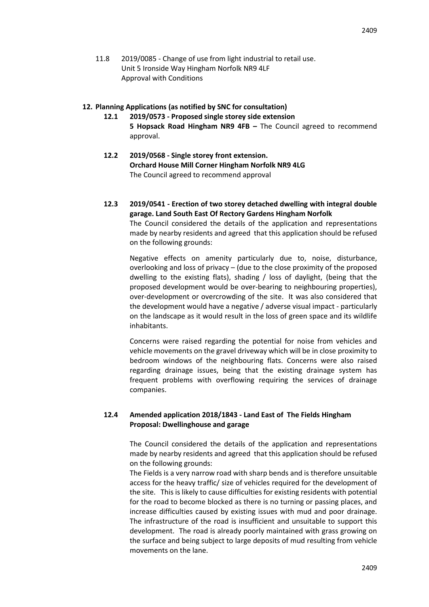11.8 2019/0085 - Change of use from light industrial to retail use. Unit 5 Ironside Way Hingham Norfolk NR9 4LF Approval with Conditions

#### **12. Planning Applications (as notified by SNC for consultation)**

- **12.1 2019/0573 - Proposed single storey side extension 5 Hopsack Road Hingham NR9 4FB –** The Council agreed to recommend approval.
- **12.2 2019/0568 - Single storey front extension. Orchard House Mill Corner Hingham Norfolk NR9 4LG** The Council agreed to recommend approval
- **12.3 2019/0541 - Erection of two storey detached dwelling with integral double garage. Land South East Of Rectory Gardens Hingham Norfolk** The Council considered the details of the application and representations made by nearby residents and agreed that this application should be refused on the following grounds:

Negative effects on amenity particularly due to, noise, disturbance, overlooking and loss of privacy – (due to the close proximity of the proposed dwelling to the existing flats), shading / loss of daylight, (being that the proposed development would be over-bearing to neighbouring properties), over-development or overcrowding of the site. It was also considered that the development would have a negative / adverse visual impact - particularly on the landscape as it would result in the loss of green space and its wildlife inhabitants.

Concerns were raised regarding the potential for noise from vehicles and vehicle movements on the gravel driveway which will be in close proximity to bedroom windows of the neighbouring flats. Concerns were also raised regarding drainage issues, being that the existing drainage system has frequent problems with overflowing requiring the services of drainage companies.

# **12.4 Amended application 2018/1843 - Land East of The Fields Hingham Proposal: Dwellinghouse and garage**

The Council considered the details of the application and representations made by nearby residents and agreed that this application should be refused on the following grounds:

The Fields is a very narrow road with sharp bends and is therefore unsuitable access for the heavy traffic/ size of vehicles required for the development of the site. This is likely to cause difficulties for existing residents with potential for the road to become blocked as there is no turning or passing places, and increase difficulties caused by existing issues with mud and poor drainage. The infrastructure of the road is insufficient and unsuitable to support this development. The road is already poorly maintained with grass growing on the surface and being subject to large deposits of mud resulting from vehicle movements on the lane.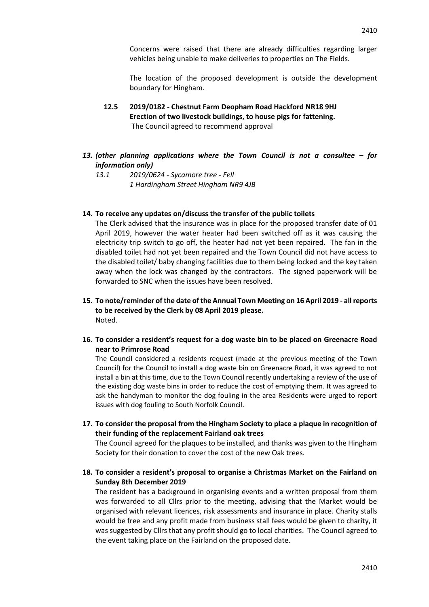Concerns were raised that there are already difficulties regarding larger vehicles being unable to make deliveries to properties on The Fields.

The location of the proposed development is outside the development boundary for Hingham.

- **12.5 2019/0182 - Chestnut Farm Deopham Road Hackford NR18 9HJ Erection of two livestock buildings, to house pigs for fattening.** The Council agreed to recommend approval
- *13. (other planning applications where the Town Council is not a consultee – for information only)*
	- *13.1 2019/0624 - Sycamore tree - Fell 1 Hardingham Street Hingham NR9 4JB*
- **14. To receive any updates on/discuss the transfer of the public toilets**

The Clerk advised that the insurance was in place for the proposed transfer date of 01 April 2019, however the water heater had been switched off as it was causing the electricity trip switch to go off, the heater had not yet been repaired. The fan in the disabled toilet had not yet been repaired and the Town Council did not have access to the disabled toilet/ baby changing facilities due to them being locked and the key taken away when the lock was changed by the contractors. The signed paperwork will be forwarded to SNC when the issues have been resolved.

- **15. To note/reminder of the date of the Annual Town Meeting on 16 April 2019 - all reports to be received by the Clerk by 08 April 2019 please.** Noted.
- **16. To consider a resident's request for a dog waste bin to be placed on Greenacre Road near to Primrose Road**

The Council considered a residents request (made at the previous meeting of the Town Council) for the Council to install a dog waste bin on Greenacre Road, it was agreed to not install a bin at this time, due to the Town Council recently undertaking a review of the use of the existing dog waste bins in order to reduce the cost of emptying them. It was agreed to ask the handyman to monitor the dog fouling in the area Residents were urged to report issues with dog fouling to South Norfolk Council.

**17. To consider the proposal from the Hingham Society to place a plaque in recognition of their funding of the replacement Fairland oak trees**

The Council agreed for the plaques to be installed, and thanks was given to the Hingham Society for their donation to cover the cost of the new Oak trees.

**18. To consider a resident's proposal to organise a Christmas Market on the Fairland on Sunday 8th December 2019**

The resident has a background in organising events and a written proposal from them was forwarded to all Cllrs prior to the meeting, advising that the Market would be organised with relevant licences, risk assessments and insurance in place. Charity stalls would be free and any profit made from business stall fees would be given to charity, it was suggested by Cllrs that any profit should go to local charities. The Council agreed to the event taking place on the Fairland on the proposed date.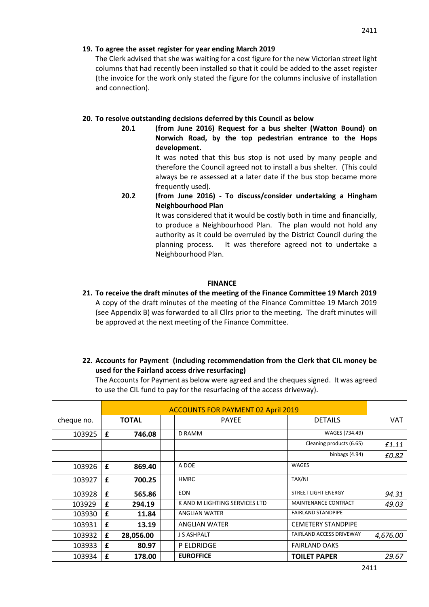The Clerk advised that she was waiting for a cost figure for the new Victorian street light columns that had recently been installed so that it could be added to the asset register (the invoice for the work only stated the figure for the columns inclusive of installation and connection).

# **20. To resolve outstanding decisions deferred by this Council as below**

**20.1 (from June 2016) Request for a bus shelter (Watton Bound) on Norwich Road, by the top pedestrian entrance to the Hops development.**

It was noted that this bus stop is not used by many people and therefore the Council agreed not to install a bus shelter. (This could always be re assessed at a later date if the bus stop became more frequently used).

**20.2 (from June 2016) - To discuss/consider undertaking a Hingham Neighbourhood Plan**

> It was considered that it would be costly both in time and financially, to produce a Neighbourhood Plan. The plan would not hold any authority as it could be overruled by the District Council during the planning process. It was therefore agreed not to undertake a Neighbourhood Plan.

# **FINANCE**

**21. To receive the draft minutes of the meeting of the Finance Committee 19 March 2019** A copy of the draft minutes of the meeting of the Finance Committee 19 March 2019 (see Appendix B) was forwarded to all Cllrs prior to the meeting. The draft minutes will be approved at the next meeting of the Finance Committee.

# **22. Accounts for Payment (including recommendation from the Clerk that CIL money be used for the Fairland access drive resurfacing)**

The Accounts for Payment as below were agreed and the cheques signed. It was agreed to use the CIL fund to pay for the resurfacing of the access driveway).

|            | <b>ACCOUNTS FOR PAYMENT 02 April 2019</b> |              |  |                               |                                 |          |
|------------|-------------------------------------------|--------------|--|-------------------------------|---------------------------------|----------|
| cheque no. |                                           | <b>TOTAL</b> |  | <b>PAYEE</b>                  | <b>DETAILS</b>                  | VAT      |
| 103925     | £<br>746.08                               |              |  | D RAMM                        | WAGES (734.49)                  |          |
|            |                                           |              |  |                               | Cleaning products (6.65)        | £1.11    |
|            |                                           |              |  |                               | binbags (4.94)                  | £0.82    |
| 103926     | £                                         | 869.40       |  | A DOE                         | WAGES                           |          |
| 103927     | £                                         | 700.25       |  | <b>HMRC</b>                   | TAX/NI                          |          |
| 103928     | £                                         | 565.86       |  | <b>EON</b>                    | <b>STREET LIGHT ENERGY</b>      | 94.31    |
| 103929     | £                                         | 294.19       |  | K AND M LIGHTING SERVICES LTD | MAINTENANCE CONTRACT            | 49.03    |
| 103930     | £                                         | 11.84        |  | <b>ANGLIAN WATER</b>          | <b>FAIRLAND STANDPIPE</b>       |          |
| 103931     | £                                         | 13.19        |  | <b>ANGLIAN WATER</b>          | <b>CEMETERY STANDPIPE</b>       |          |
| 103932     | £                                         | 28,056.00    |  | J S ASHPALT                   | <b>FAIRLAND ACCESS DRIVEWAY</b> | 4,676.00 |
| 103933     | £                                         | 80.97        |  | <b>P ELDRIDGE</b>             | <b>FAIRLAND OAKS</b>            |          |
| 103934     | £                                         | 178.00       |  | <b>EUROFFICE</b>              | <b>TOILET PAPER</b>             | 29.67    |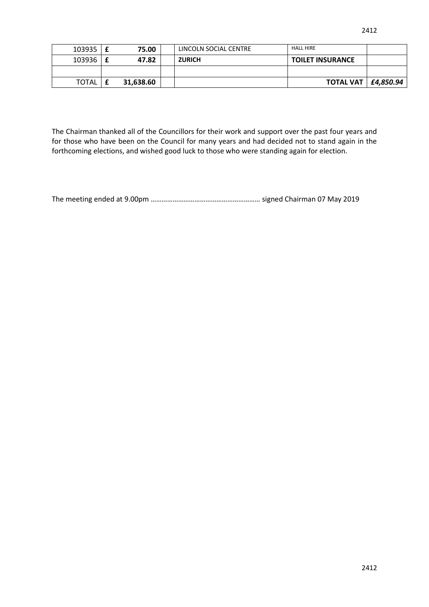| 103935 | f | 75.00     | LINCOLN SOCIAL CENTRE | <b>HALL HIRE</b>        |               |
|--------|---|-----------|-----------------------|-------------------------|---------------|
| 103936 |   | 47.82     | <b>ZURICH</b>         | <b>TOILET INSURANCE</b> |               |
|        |   |           |                       |                         |               |
| TOTAL  |   | 31,638.60 |                       | <b>TOTAL VAT</b>        | $ $ £4,850.94 |

The Chairman thanked all of the Councillors for their work and support over the past four years and for those who have been on the Council for many years and had decided not to stand again in the forthcoming elections, and wished good luck to those who were standing again for election.

The meeting ended at 9.00pm …………………………………………………… signed Chairman 07 May 2019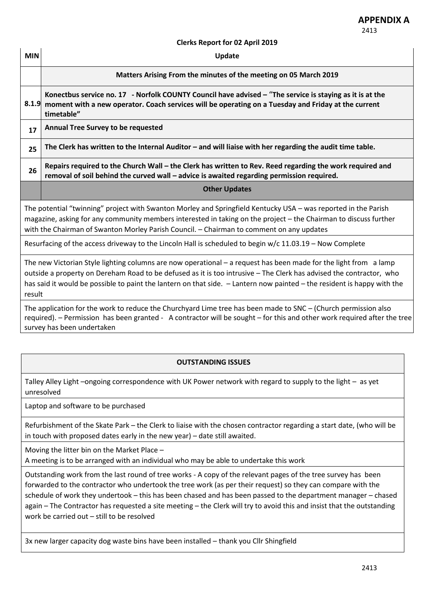#### **Clerks Report for 02 April 2019**

| <b>MIN</b> | Update                                                                                                                                                                                                                                                                                                                                                             |  |  |  |  |
|------------|--------------------------------------------------------------------------------------------------------------------------------------------------------------------------------------------------------------------------------------------------------------------------------------------------------------------------------------------------------------------|--|--|--|--|
|            | Matters Arising From the minutes of the meeting on 05 March 2019                                                                                                                                                                                                                                                                                                   |  |  |  |  |
| 8.1.9      | Konectbus service no. 17 - Norfolk COUNTY Council have advised - "The service is staying as it is at the<br>moment with a new operator. Coach services will be operating on a Tuesday and Friday at the current<br>timetable"                                                                                                                                      |  |  |  |  |
| 17         | <b>Annual Tree Survey to be requested</b>                                                                                                                                                                                                                                                                                                                          |  |  |  |  |
| 25         | The Clerk has written to the Internal Auditor $-$ and will liaise with her regarding the audit time table.                                                                                                                                                                                                                                                         |  |  |  |  |
| 26         | Repairs required to the Church Wall – the Clerk has written to Rev. Reed regarding the work required and<br>removal of soil behind the curved wall - advice is awaited regarding permission required.                                                                                                                                                              |  |  |  |  |
|            | <b>Other Updates</b>                                                                                                                                                                                                                                                                                                                                               |  |  |  |  |
|            | The potential "twinning" project with Swanton Morley and Springfield Kentucky USA - was reported in the Parish<br>magazine, asking for any community members interested in taking on the project - the Chairman to discuss further<br>with the Chairman of Swanton Morley Parish Council. - Chairman to comment on any updates                                     |  |  |  |  |
|            | Resurfacing of the access driveway to the Lincoln Hall is scheduled to begin w/c 11.03.19 - Now Complete                                                                                                                                                                                                                                                           |  |  |  |  |
| result     | The new Victorian Style lighting columns are now operational - a request has been made for the light from a lamp<br>outside a property on Dereham Road to be defused as it is too intrusive - The Clerk has advised the contractor, who<br>has said it would be possible to paint the lantern on that side. - Lantern now painted - the resident is happy with the |  |  |  |  |
|            | The application for the work to reduce the Churchyard Lime tree has been made to SNC - (Church permission also<br>required). - Permission has been granted - A contractor will be sought - for this and other work required after the tree<br>survey has been undertaken                                                                                           |  |  |  |  |
|            |                                                                                                                                                                                                                                                                                                                                                                    |  |  |  |  |

# **OUTSTANDING ISSUES**

Talley Alley Light –ongoing correspondence with UK Power network with regard to supply to the light – as yet unresolved

Laptop and software to be purchased

Refurbishment of the Skate Park – the Clerk to liaise with the chosen contractor regarding a start date, (who will be in touch with proposed dates early in the new year) – date still awaited.

Moving the litter bin on the Market Place –

A meeting is to be arranged with an individual who may be able to undertake this work

Outstanding work from the last round of tree works - A copy of the relevant pages of the tree survey has been forwarded to the contractor who undertook the tree work (as per their request) so they can compare with the schedule of work they undertook – this has been chased and has been passed to the department manager – chased again – The Contractor has requested a site meeting – the Clerk will try to avoid this and insist that the outstanding work be carried out – still to be resolved

3x new larger capacity dog waste bins have been installed – thank you Cllr Shingfield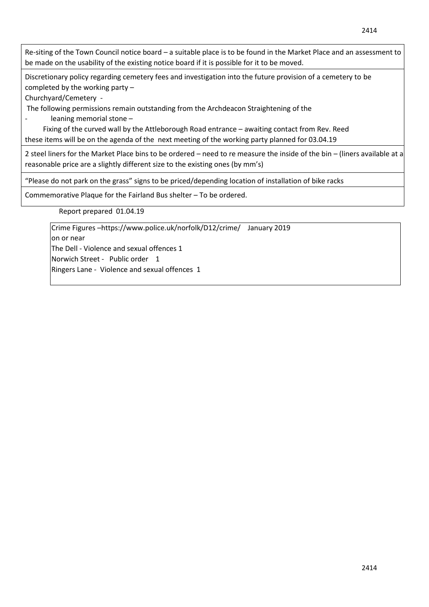Re-siting of the Town Council notice board – a suitable place is to be found in the Market Place and an assessment to be made on the usability of the existing notice board if it is possible for it to be moved.

Discretionary policy regarding cemetery fees and investigation into the future provision of a cemetery to be completed by the working party –

Churchyard/Cemetery -

The following permissions remain outstanding from the Archdeacon Straightening of the

- leaning memorial stone –

 Fixing of the curved wall by the Attleborough Road entrance – awaiting contact from Rev. Reed these items will be on the agenda of the next meeting of the working party planned for 03.04.19

2 steel liners for the Market Place bins to be ordered – need to re measure the inside of the bin – (liners available at a reasonable price are a slightly different size to the existing ones (by mm's)

"Please do not park on the grass" signs to be priced/depending location of installation of bike racks

Commemorative Plaque for the Fairland Bus shelter – To be ordered.

Report prepared 01.04.19

Crime Figures –https://www.police.uk/norfolk/D12/crime/ January 2019 on or near The Dell - Violence and sexual offences 1 Norwich Street - Public order 1 Ringers Lane - Violence and sexual offences 1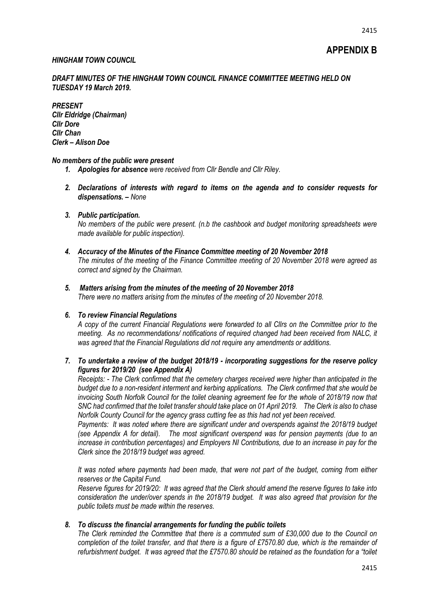# **APPENDIX B**

# *HINGHAM TOWN COUNCIL*

# *DRAFT MINUTES OF THE HINGHAM TOWN COUNCIL FINANCE COMMITTEE MEETING HELD ON TUESDAY 19 March 2019.*

*PRESENT Cllr Eldridge (Chairman) Cllr Dore Cllr Chan Clerk – Alison Doe*

#### *No members of the public were present*

- *1. Apologies for absence were received from Cllr Bendle and Cllr Riley.*
- *2. Declarations of interests with regard to items on the agenda and to consider requests for dispensations. – None*

# *3. Public participation.*

*No members of the public were present. (n.b the cashbook and budget monitoring spreadsheets were made available for public inspection).*

*4. Accuracy of the Minutes of the Finance Committee meeting of 20 November 2018 The minutes of the meeting of the Finance Committee meeting of 20 November 2018 were agreed as correct and signed by the Chairman.*

# *5. Matters arising from the minutes of the meeting of 20 November 2018*

*There were no matters arising from the minutes of the meeting of 20 November 2018.*

#### *6. To review Financial Regulations*

*A copy of the current Financial Regulations were forwarded to all Cllrs on the Committee prior to the meeting. As no recommendations/ notifications of required changed had been received from NALC, it was agreed that the Financial Regulations did not require any amendments or additions.*

# *7. To undertake a review of the budget 2018/19 - incorporating suggestions for the reserve policy figures for 2019/20 (see Appendix A)*

*Receipts: - The Clerk confirmed that the cemetery charges received were higher than anticipated in the budget due to a non-resident interment and kerbing applications. The Clerk confirmed that she would be invoicing South Norfolk Council for the toilet cleaning agreement fee for the whole of 2018/19 now that SNC had confirmed that the toilet transfer should take place on 01 April 2019. The Clerk is also to chase Norfolk County Council for the agency grass cutting fee as this had not yet been received.*

*Payments: It was noted where there are significant under and overspends against the 2018/19 budget (see Appendix A for detail). The most significant overspend was for pension payments (due to an increase in contribution percentages) and Employers NI Contributions, due to an increase in pay for the Clerk since the 2018/19 budget was agreed.*

*It was noted where payments had been made, that were not part of the budget, coming from either reserves or the Capital Fund.*

*Reserve figures for 2019/20: It was agreed that the Clerk should amend the reserve figures to take into consideration the under/over spends in the 2018/19 budget. It was also agreed that provision for the public toilets must be made within the reserves.*

### *8. To discuss the financial arrangements for funding the public toilets*

*The Clerk reminded the Committee that there is a commuted sum of £30,000 due to the Council on completion of the toilet transfer, and that there is a figure of £7570.80 due, which is the remainder of refurbishment budget. It was agreed that the £7570.80 should be retained as the foundation for a "toilet*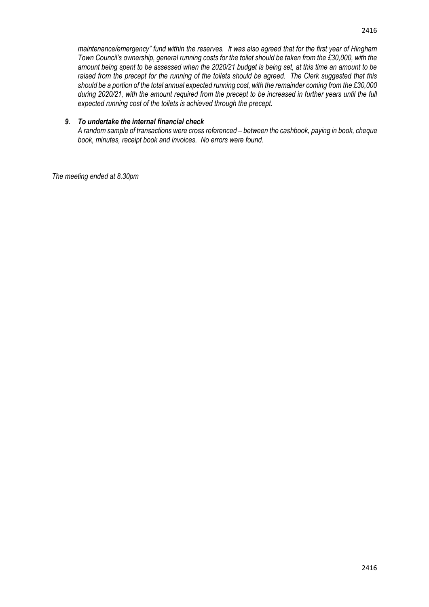*maintenance/emergency" fund within the reserves. It was also agreed that for the first year of Hingham Town Council's ownership, general running costs for the toilet should be taken from the £30,000, with the amount being spent to be assessed when the 2020/21 budget is being set, at this time an amount to be raised from the precept for the running of the toilets should be agreed. The Clerk suggested that this should be a portion of the total annual expected running cost, with the remainder coming from the £30,000 during 2020/21, with the amount required from the precept to be increased in further years until the full expected running cost of the toilets is achieved through the precept.*

# *9. To undertake the internal financial check*

*A random sample of transactions were cross referenced – between the cashbook, paying in book, cheque book, minutes, receipt book and invoices. No errors were found.*

*The meeting ended at 8.30pm*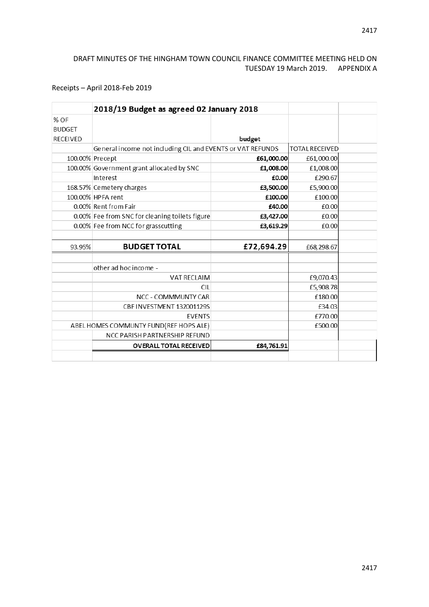# DRAFT MINUTES OF THE HINGHAM TOWN COUNCIL FINANCE COMMITTEE MEETING HELD ON TUESDAY 19 March 2019. APPENDIX A

# Receipts – April 2018-Feb 2019

|                 | 2018/19 Budget as agreed 02 January 2018                   |            |                       |  |
|-----------------|------------------------------------------------------------|------------|-----------------------|--|
| $%$ OF          |                                                            |            |                       |  |
| <b>BUDGET</b>   |                                                            |            |                       |  |
| <b>RECEIVED</b> |                                                            | budget     |                       |  |
|                 | General income not including CIL and EVENTS or VAT REFUNDS |            | <b>TOTAL RECEIVED</b> |  |
|                 | 100.00% Precept                                            | £61,000.00 | £61,000.00            |  |
|                 | 100.00% Government grant allocated by SNC                  | £1,008.00  | £1,008.00             |  |
|                 | Interest                                                   | £0.00      | £290.67               |  |
|                 | 168.57% Cemetery charges                                   | £3,500.00  | £5,900.00             |  |
|                 | 100.00% HPFA rent                                          | £100.00    | £100.00               |  |
|                 | 0.00% Rent from Fair                                       | £40.00     | £0.00                 |  |
|                 | 0.00% Fee from SNC for cleaning toilets figure             | £3,427.00  | £0.00                 |  |
|                 | 0.00% Fee from NCC for grasscutting                        | £3,619.29  | £0.00                 |  |
|                 |                                                            |            |                       |  |
| 93.95%          | <b>BUDGET TOTAL</b>                                        | £72,694.29 | £68,298.67            |  |
|                 | other ad hoc income -                                      |            |                       |  |
|                 | <b>VAT RECLAIM</b>                                         |            | £9,070.43             |  |
|                 | <b>CIL</b>                                                 |            | £5,908.78             |  |
|                 | NCC - COMMMUNTY CAR                                        |            | £180.00               |  |
|                 | CBF INVESTMENT 132001129S                                  |            | £34.03                |  |
|                 | <b>EVENTS</b>                                              |            | £770.00               |  |
|                 | ABEL HOMES COMMUNTY FUND(REF HOPS ALE)                     |            | £500.00               |  |
|                 | NCC PARISH PARTNERSHIP REFUND                              |            |                       |  |
|                 | <b>OVERALL TOTAL RECEIVED</b>                              | £84,761.91 |                       |  |
|                 |                                                            |            |                       |  |
|                 |                                                            |            |                       |  |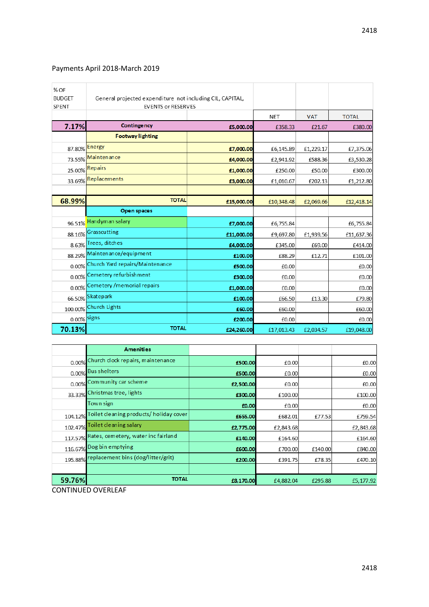# Payments April 2018-March 2019

| % OF<br><b>BUDGET</b><br>SPENT | General projected expenditure not including CIL, CAPITAL,<br><b>EVENTS or RESERVES</b> |            |            |            |              |
|--------------------------------|----------------------------------------------------------------------------------------|------------|------------|------------|--------------|
|                                |                                                                                        |            | <b>NET</b> | <b>VAT</b> | <b>TOTAL</b> |
| 7.17%                          | Contingency                                                                            | £5,000.00  | £358.33    | £21.67     | £380.00      |
|                                | <b>Footway lighting</b>                                                                |            |            |            |              |
|                                | 87.80% Energy                                                                          | £7,000.00  | £6,145.89  | £1,229.17  | £7,375.06    |
| 73.55%                         | Maintenance                                                                            | £4,000.00  | £2,941.92  | £588.36    | £3,530.28    |
|                                | 25.00% Repairs                                                                         | £1,000.00  | £250.00    | £50.00     | £300.00      |
|                                | 33.69% Replacements                                                                    | £3,000.00  | £1,010.67  | £202.13    | £1,212.80    |
|                                |                                                                                        |            |            |            |              |
| 68.99%                         | <b>TOTAL</b>                                                                           | £15,000.00 | £10,348.48 | £2,069.66  | £12,418.14   |
|                                | Open spaces                                                                            |            |            |            |              |
| 96.51%                         | Handyman salary                                                                        | £7,000.00  | £6,755.84  |            | £6,755.84    |
| 88.16%                         | Grasscutting                                                                           | £11,000.00 | £9,697.80  | £1,939.56  | £11,637.36   |
|                                | 8.63% Trees, ditches                                                                   | £4,000.00  | £345.00    | £69.00     | £414.00      |
|                                | 88.29% Maintenance/equipment                                                           | £100.00    | £88.29     | £12.71     | £101.00      |
|                                | 0.00% Church Yard repairs/Maintenance                                                  | £500.00    | £0.00      |            | £0.00        |
| 0.00%                          | Cemetery refurbishment                                                                 | £300.00    | £0.00      |            | £0.00        |
| 0.00%                          | Cemetery / memorial repairs                                                            | £1,000.00  | £0.00      |            | £0.00        |
|                                | 66.50% Skatepark                                                                       | £100.00    | £66.50     | £13.30     | £79.80       |
|                                | 100.00% Church Lights                                                                  | £60.00     | £60.00     |            | £60.00       |
| $0.00\%$ signs                 |                                                                                        | £200.00    | £0.00      |            | £0.00        |
| 70.13%                         | <b>TOTAL</b>                                                                           | £24,260.00 | £17,013.43 | £2,034.57  | £19,048.00   |

|         | <b>Amenities</b>                            |           |           |         |           |
|---------|---------------------------------------------|-----------|-----------|---------|-----------|
|         | 0.00% Church clock repairs, maintenance     | £500.00   | £0.00     |         | £0.00     |
|         | 0.00% Bus shelters                          | £500.00   | £0.00     |         | £0.00     |
|         | 0.00% Community car scheme                  | £2,500.00 | £0.00     |         | £0.00     |
| 33.33%  | Christmas tree, lights                      | £300.00   | £100.00   |         | £100.00   |
|         | Town sign                                   | £0.00     | £0.00     |         | £0.00     |
| 104.12% | Toilet cleaning products/ holiday cover     | £655.00   | £682.01   | £77.53  | £759.54   |
| 102.47% | Toilet cleaning salary                      | £2,775.00 | £2,843.68 |         | £2,843.68 |
|         | 117.57% Rates, cemetery, water inc fairland | £140.00   | £164.60   |         | £164.60   |
|         | 116.67% Dog bin emptying                    | £600.00   | £700.00   | £140.00 | £840.00   |
|         | 195.88% replacement bins (dog/litter/grit)  | £200.00   | £391.75   | £78.35  | £470.10   |
|         |                                             |           |           |         |           |
| 59.76%  | <b>TOTAL</b>                                | £8,170.00 | £4,882.04 | £295.88 | £5,177.92 |

CONTINUED OVERLEAF